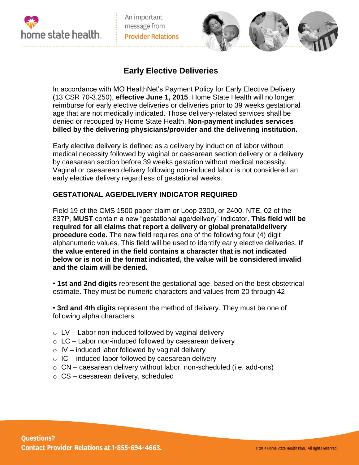

An important message from **Provider Relations** 



## **Early Elective Deliveries**

In accordance with MO HealthNet's Payment Policy for Early Elective Delivery (13 CSR 70-3.250), **effective June 1, 2015**, Home State Health will no longer reimburse for early elective deliveries or deliveries prior to 39 weeks gestational age that are not medically indicated. Those delivery-related services shall be denied or recouped by Home State Health. **Non-payment includes services billed by the delivering physicians/provider and the delivering institution.**

Early elective delivery is defined as a delivery by induction of labor without medical necessity followed by vaginal or caesarean section delivery or a delivery by caesarean section before 39 weeks gestation without medical necessity. Vaginal or caesarean delivery following non-induced labor is not considered an early elective delivery regardless of gestational weeks.

## **GESTATIONAL AGE/DELIVERY INDICATOR REQUIRED**

Field 19 of the CMS 1500 paper claim or Loop 2300, or 2400, NTE, 02 of the 837P, **MUST** contain a new "gestational age/delivery" indicator. **This field will be required for all claims that report a delivery or global prenatal/delivery procedure code.** The new field requires one of the following four (4) digit alphanumeric values. This field will be used to identify early elective deliveries. **If the value entered in the field contains a character that is not indicated below or is not in the format indicated, the value will be considered invalid and the claim will be denied.**

• **1st and 2nd digits** represent the gestational age, based on the best obstetrical estimate. They must be numeric characters and values from 20 through 42

• **3rd and 4th digits** represent the method of delivery. They must be one of following alpha characters:

- $\circ$  LV Labor non-induced followed by vaginal delivery
- $\circ$  LC Labor non-induced followed by caesarean delivery
- $\circ$  IV induced labor followed by vaginal delivery
- $\circ$  IC induced labor followed by caesarean delivery
- $\circ$  CN caesarean delivery without labor, non-scheduled (i.e. add-ons)
- $\circ$  CS caesarean delivery, scheduled